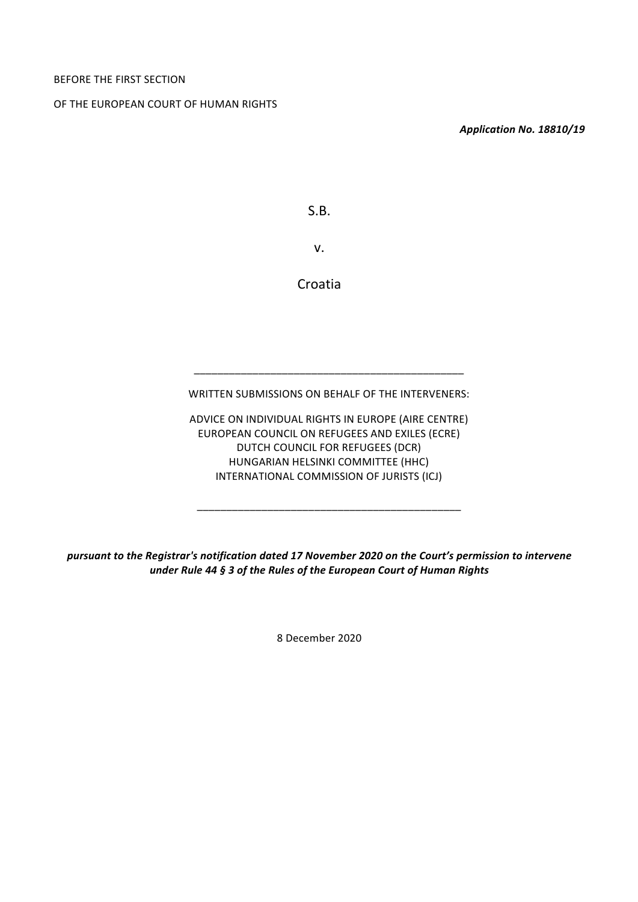OF THE EUROPEAN COURT OF HUMAN RIGHTS

*Application No. 18810/19*

S.B.

v.

Croatia

WRITTEN SUBMISSIONS ON BEHALF OF THE INTERVENERS:

\_\_\_\_\_\_\_\_\_\_\_\_\_\_\_\_\_\_\_\_\_\_\_\_\_\_\_\_\_\_\_\_\_\_\_\_\_\_\_\_\_\_\_\_\_\_

ADVICE ON INDIVIDUAL RIGHTS IN EUROPE (AIRE CENTRE) EUROPEAN COUNCIL ON REFUGEES AND EXILES (ECRE) DUTCH COUNCIL FOR REFUGEES (DCR) HUNGARIAN HELSINKI COMMITTEE (HHC) INTERNATIONAL COMMISSION OF JURISTS (ICJ)

\_\_\_\_\_\_\_\_\_\_\_\_\_\_\_\_\_\_\_\_\_\_\_\_\_\_\_\_\_\_\_\_\_\_\_\_\_\_\_\_\_\_\_\_\_

*pursuant to the Registrar's notification dated 17 November 2020 on the Court's permission to intervene under Rule 44 § 3 of the Rules of the European Court of Human Rights*

8 December 2020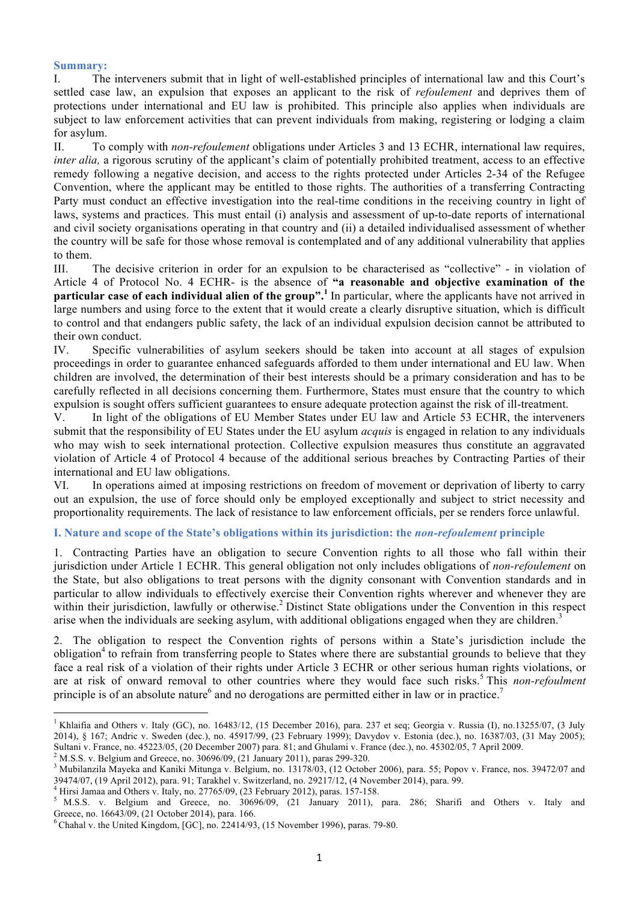### **Summary:**

I. The interveners submit that in light of well-established principles of international law and this Court's settled case law, an expulsion that exposes an applicant to the risk of *refoulement* and deprives them of protections under international and EU law is prohibited. This principle also applies when individuals are subject to law enforcement activities that can prevent individuals from making, registering or lodging a claim for asylum.

II. To comply with *non-refoulement* obligations under Articles 3 and 13 ECHR, international law requires, *inter alia*, a rigorous scrutiny of the applicant's claim of potentially prohibited treatment, access to an effective remedy following a negative decision, and access to the rights protected under Articles 2-34 of the Refugee Convention, where the applicant may be entitled to those rights. The authorities of a transferring Contracting Party must conduct an effective investigation into the real-time conditions in the receiving country in light of laws, systems and practices. This must entail (i) analysis and assessment of up-to-date reports of international and civil society organisations operating in that country and (ii) a detailed individualised assessment of whether the country will be safe for those whose removal is contemplated and of any additional vulnerability that applies to them.

III. The decisive criterion in order for an expulsion to be characterised as "collective" - in violation of Article 4 of Protocol No. 4 ECHR- is the absence of **"a reasonable and objective examination of the particular case of each individual alien of the group".<sup>1</sup>** In particular, where the applicants have not arrived in large numbers and using force to the extent that it would create a clearly disruptive situation, which is difficult to control and that endangers public safety, the lack of an individual expulsion decision cannot be attributed to their own conduct.

IV. Specific vulnerabilities of asylum seekers should be taken into account at all stages of expulsion proceedings in order to guarantee enhanced safeguards afforded to them under international and EU law. When children are involved, the determination of their best interests should be a primary consideration and has to be carefully reflected in all decisions concerning them. Furthermore, States must ensure that the country to which expulsion is sought offers sufficient guarantees to ensure adequate protection against the risk of ill-treatment.

V. In light of the obligations of EU Member States under EU law and Article 53 ECHR, the interveners submit that the responsibility of EU States under the EU asylum *acquis* is engaged in relation to any individuals who may wish to seek international protection. Collective expulsion measures thus constitute an aggravated violation of Article 4 of Protocol 4 because of the additional serious breaches by Contracting Parties of their international and EU law obligations.

VI. In operations aimed at imposing restrictions on freedom of movement or deprivation of liberty to carry out an expulsion, the use of force should only be employed exceptionally and subject to strict necessity and proportionality requirements. The lack of resistance to law enforcement officials, per se renders force unlawful.

# **I. Nature and scope of the State's obligations within its jurisdiction: the** *non-refoulement* **principle**

1. Contracting Parties have an obligation to secure Convention rights to all those who fall within their jurisdiction under Article 1 ECHR. This general obligation not only includes obligations of *non-refoulement* on the State, but also obligations to treat persons with the dignity consonant with Convention standards and in particular to allow individuals to effectively exercise their Convention rights wherever and whenever they are within their jurisdiction, lawfully or otherwise.<sup>2</sup> Distinct State obligations under the Convention in this respect arise when the individuals are seeking asylum, with additional obligations engaged when they are children.<sup>3</sup>

2. The obligation to respect the Convention rights of persons within a State's jurisdiction include the obligation<sup>4</sup> to refrain from transferring people to States where there are substantial grounds to believe that they face a real risk of a violation of their rights under Article 3 ECHR or other serious human rights violations, or are at risk of onward removal to other countries where they would face such risks.<sup>5</sup> This *non-refoulment* principle is of an absolute nature<sup>6</sup> and no derogations are permitted either in law or in practice.<sup>7</sup>

<sup>&</sup>lt;sup>1</sup> Khlaifia and Others v. Italy (GC), no. 16483/12, (15 December 2016), para. 237 et seq; Georgia v. Russia (I), no.13255/07, (3 July 2014), § 167; Andric v. Sweden (dec.), no. 45917/99, (23 February 1999); Davydov v. Estonia (dec.), no. 16387/03, (31 May 2005);

Sultani v. France, no. 45223/05, (20 December 2007) para. 81; and Ghulami v. France (dec.), no. 45302/05, 7 April 2009.<br><sup>2</sup> M.S.S. v. Belgium and Greece, no. 30696/09, (21 January 2011), paras 299-320.<br><sup>3</sup> Mubilanzila Maye  $39474/07$ , (19 April 2012), para. 91; Tarakhel v. Switzerland, no. 29217/12, (4 November 2014), para. 99.<br><sup>4</sup> Hirsi Jamaa and Others v. Italy, no. 27765/09, (23 February 2012), paras. 157-158.<br><sup>5</sup> M.S.S. v. Belgium and G

Greece, no. 16643/09, (21 October 2014), para. 166.<br><sup>6</sup> Chahal v. the United Kingdom, [GC], no. 22414/93, (15 November 1996), paras. 79-80.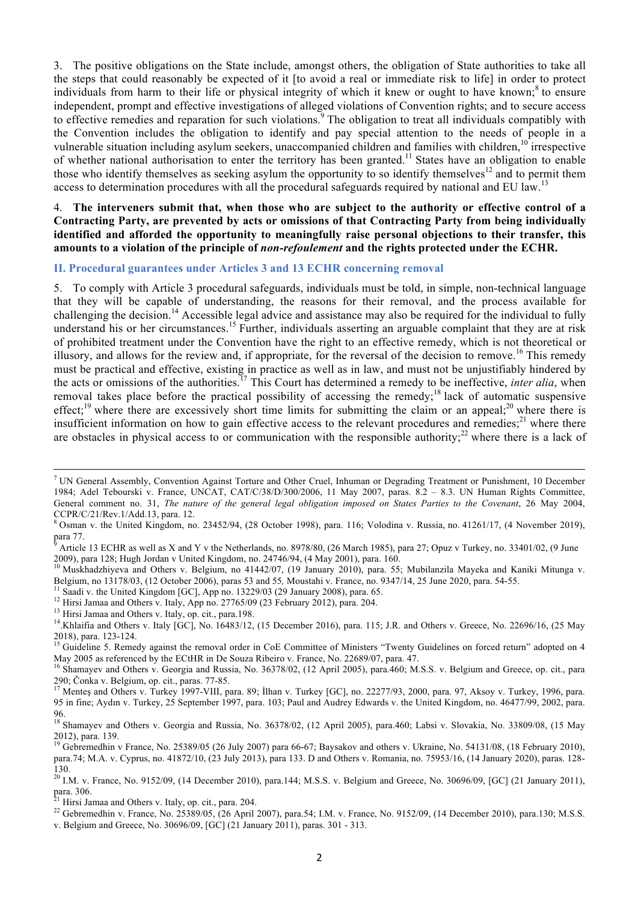3. The positive obligations on the State include, amongst others, the obligation of State authorities to take all the steps that could reasonably be expected of it [to avoid a real or immediate risk to life] in order to protect individuals from harm to their life or physical integrity of which it knew or ought to have known;<sup>8</sup> to ensure independent, prompt and effective investigations of alleged violations of Convention rights; and to secure access to effective remedies and reparation for such violations.<sup>9</sup> The obligation to treat all individuals compatibly with the Convention includes the obligation to identify and pay special attention to the needs of people in a vulnerable situation including asylum seekers, unaccompanied children and families with children,<sup>10</sup> irrespective of whether national authorisation to enter the territory has been granted.11 States have an obligation to enable those who identify themselves as seeking asylum the opportunity to so identify themselves<sup>12</sup> and to permit them access to determination procedures with all the procedural safeguards required by national and EU law.<sup>13</sup>

# 4. **The interveners submit that, when those who are subject to the authority or effective control of a Contracting Party, are prevented by acts or omissions of that Contracting Party from being individually identified and afforded the opportunity to meaningfully raise personal objections to their transfer, this amounts to a violation of the principle of** *non-refoulement* **and the rights protected under the ECHR.**

### **II. Procedural guarantees under Articles 3 and 13 ECHR concerning removal**

5. To comply with Article 3 procedural safeguards, individuals must be told, in simple, non-technical language that they will be capable of understanding, the reasons for their removal, and the process available for challenging the decision.<sup>14</sup> Accessible legal advice and assistance may also be required for the individual to fully understand his or her circumstances.<sup>15</sup> Further, individuals asserting an arguable complaint that they are at risk of prohibited treatment under the Convention have the right to an effective remedy, which is not theoretical or illusory, and allows for the review and, if appropriate, for the reversal of the decision to remove.<sup>16</sup> This remedy must be practical and effective, existing in practice as well as in law, and must not be unjustifiably hindered by the acts or omissions of the authorities.17 This Court has determined a remedy to be ineffective, *inter alia*, when removal takes place before the practical possibility of accessing the remedy;<sup>18</sup> lack of automatic suspensive effect;<sup>19</sup> where there are excessively short time limits for submitting the claim or an appeal;<sup>20</sup> where there is insufficient information on how to gain effective access to the relevant procedures and remedies; $^{21}$  where there are obstacles in physical access to or communication with the responsible authority;<sup>22</sup> where there is a lack of

Belgium, no 13178/03, (12 October 2006), paras 53 and 55, Moustahi v. France, no. 9347/14, 25 June 2020, para. 54-55.<br><sup>11</sup> Saadi v. the United Kingdom [GC], App no. 13229/03 (29 January 2008), para. 65.<br><sup>12</sup> Hirsi Jamaa an

<sup>&</sup>lt;sup>7</sup> UN General Assembly, Convention Against Torture and Other Cruel, Inhuman or Degrading Treatment or Punishment, 10 December 1984; Adel Tebourski v. France, UNCAT, CAT/C/38/D/300/2006, 11 May 2007, paras. 8.2 – 8.3. UN Human Rights Committee, General comment no. 31, *The nature of the general legal obligation imposed on States Parties to the Covenant*, 26 May 2004,

CCPR/C/21/Rev.1/Add.13, para. 12.<br><sup>8</sup> Osman v. the United Kingdom, no. 23452/94, (28 October 1998), para. 116; Volodina v. Russia, no. 41261/17, (4 November 2019), para 77.

Article 13 ECHR as well as X and Y v the Netherlands, no. 8978/80, (26 March 1985), para 27; Opuz v Turkey, no. 33401/02, (9 June 2009), para 128; Hugh Jordan v United Kingdom, no. 24746/94, (4 May 2001), para. 160.<br><sup>10</sup> Muskhadzhiyeva and Others v. Belgium, no 41442/07, (19 January 2010), para. 55; Mubilanzila Mayeka and Kaniki Mitunga v.

<sup>2018),</sup> para. 123-124.<br><sup>15</sup> Guideline 5. Remedy against the removal order in CoE Committee of Ministers "Twenty Guidelines on forced return" adopted on 4

May 2005 as referenced by the ECtHR in De Souza Ribeiro v. France, No. 22689/07, para. 47.<br><sup>16</sup> Shamayev and Others v. Georgia and Russia, No. 36378/02, (12 April 2005), para.460; M.S.S. v. Belgium and Greece, op. cit., pa

<sup>290;</sup> Čonka v. Belgium, op. cit., paras. 77-85.<br><sup>17</sup> Menteş and Others v. Turkey 1997-VIII, para. 89; İlhan v. Turkey [GC], no. 22277/93, 2000, para. 97, Aksoy v. Turkey, 1996, para. 95 in fine; Aydın v. Turkey, 25 September 1997, para. 103; Paul and Audrey Edwards v. the United Kingdom, no. 46477/99, 2002, para.

<sup>96.</sup> <sup>18</sup> Shamayev and Others v. Georgia and Russia, No. 36378/02, (12 April 2005), para.460; Labsi v. Slovakia, No. 33809/08, (15 May 2012), para. 139.<br><sup>19</sup> Gebremedhin v France, No. 25389/05 (26 July 2007) para 66-67; Baysakov and others v. Ukraine, No. 54131/08, (18 February 2010),

para.74; M.A. v. Cyprus, no. 41872/10, (23 July 2013), para 133. D and Others v. Romania, no. 75953/16, (14 January 2020), paras. 128-

<sup>130.&</sup>lt;br><sup>20</sup> I.M. v. France, No. 9152/09, (14 December 2010), para.144; M.S.S. v. Belgium and Greece, No. 30696/09, [GC] (21 January 2011), para. 306.<br>para. 306.<br><sup>21</sup> Hirsi Jamaa and Others v. Italy on cit. para. 204.

<sup>&</sup>lt;sup>21</sup> Hirsi Jamaa and Others v. Italy, op. cit., para. 204.<br><sup>22</sup> Gebremedhin v. France, No. 25389/05, (26 April 2007), para.54; I.M. v. France, No. 9152/09, (14 December 2010), para.130; M.S.S. v. Belgium and Greece, No. 30696/09, [GC] (21 January 2011), paras. 301 - 313.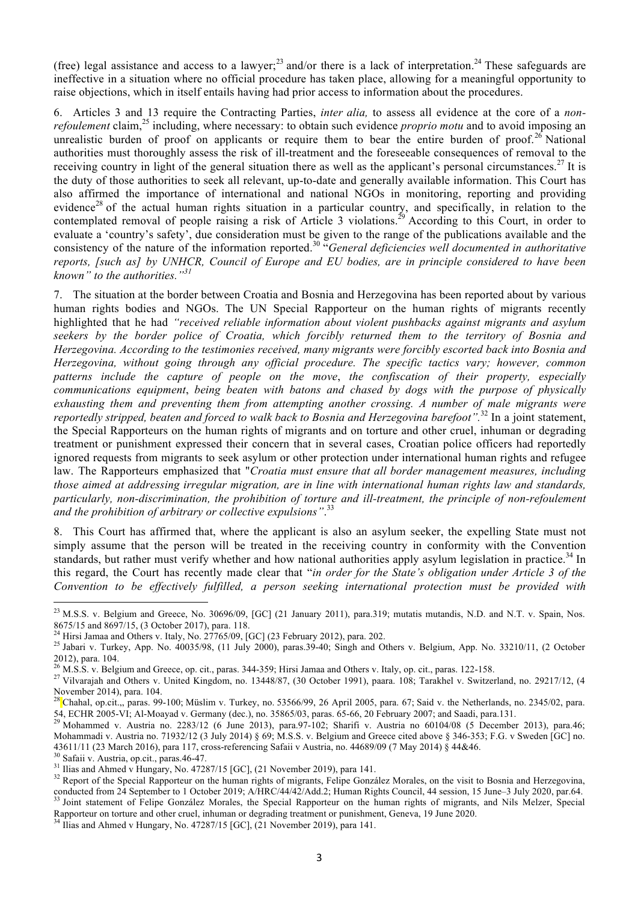(free) legal assistance and access to a lawyer;<sup>23</sup> and/or there is a lack of interpretation.<sup>24</sup> These safeguards are ineffective in a situation where no official procedure has taken place, allowing for a meaningful opportunity to raise objections, which in itself entails having had prior access to information about the procedures.

6. Articles 3 and 13 require the Contracting Parties, *inter alia,* to assess all evidence at the core of a *nonrefoulement* claim,<sup>25</sup> including, where necessary: to obtain such evidence *proprio motu* and to avoid imposing an unrealistic burden of proof on applicants or require them to bear the entire burden of proof.<sup>26</sup> National authorities must thoroughly assess the risk of ill-treatment and the foreseeable consequences of removal to the receiving country in light of the general situation there as well as the applicant's personal circumstances.<sup>27</sup> It is the duty of those authorities to seek all relevant, up-to-date and generally available information. This Court has also affirmed the importance of international and national NGOs in monitoring, reporting and providing evidence<sup>28</sup> of the actual human rights situation in a particular country, and specifically, in relation to the contemplated removal of people raising a risk of Article 3 violations.<sup>29</sup> According to this Court, in order to evaluate a 'country's safety', due consideration must be given to the range of the publications available and the consistency of the nature of the information reported.<sup>30</sup> "*General deficiencies well documented in authoritative* reports, [such as] by UNHCR, Council of Europe and EU bodies, are in principle considered to have been *known" to the authorities."<sup>31</sup>*

7. The situation at the border between Croatia and Bosnia and Herzegovina has been reported about by various human rights bodies and NGOs. The UN Special Rapporteur on the human rights of migrants recently highlighted that he had *"received reliable information about violent pushbacks against migrants and asylum seekers by the border police of Croatia, which forcibly returned them to the territory of Bosnia and Herzegovina. According to the testimonies received, many migrants were forcibly escorted back into Bosnia and Herzegovina, without going through any official procedure. The specific tactics vary; however, common patterns include the capture of people on the move*, *the confiscation of their property, especially communications equipment*, *being beaten with batons and chased by dogs with the purpose of physically exhausting them and preventing them from attempting another crossing. A number of male migrants were reportedly stripped, beaten and forced to walk back to Bosnia and Herzegovina barefoot".*<sup>32</sup> In a joint statement, the Special Rapporteurs on the human rights of migrants and on torture and other cruel, inhuman or degrading treatment or punishment expressed their concern that in several cases, Croatian police officers had reportedly ignored requests from migrants to seek asylum or other protection under international human rights and refugee law. The Rapporteurs emphasized that "*Croatia must ensure that all border management measures, including those aimed at addressing irregular migration, are in line with international human rights law and standards, particularly, non-discrimination, the prohibition of torture and ill-treatment, the principle of non-refoulement and the prohibition of arbitrary or collective expulsions"*. 33

8. This Court has affirmed that, where the applicant is also an asylum seeker, the expelling State must not simply assume that the person will be treated in the receiving country in conformity with the Convention standards, but rather must verify whether and how national authorities apply asylum legislation in practice.<sup>34</sup> In this regard, the Court has recently made clear that "*in order for the State's obligation under Article 3 of the Convention to be effectively fulfilled, a person seeking international protection must be provided with*

<sup>&</sup>lt;sup>23</sup> M.S.S. v. Belgium and Greece, No. 30696/09, [GC] (21 January 2011), para.319; mutatis mutandis, N.D. and N.T. v. Spain, Nos. 8675/15 and 8697/15, (3 October 2017), para. 118.<br><sup>24</sup> Hirsi Jamaa and Others v. Italy, No. 27765/09, [GC] (23 February 2012), para. 202.<br><sup>25</sup> Jabari v. Turkey, App. No. 40035/98, (11 July 2000), paras.39-40; Singh and Oth

<sup>2012),</sup> para. 104.<br><sup>26</sup> M.S.S. v. Belgium and Greece, op. cit., paras. 344-359; Hirsi Jamaa and Others v. Italy, op. cit., paras. 122-158.<br><sup>27</sup> Vilvarajah and Others v. United Kingdom, no. 13448/87, (30 October 1991), paara

November 2014), para. 104.<br><sup>28</sup> Chahal, op.cit.,, paras. 99-100; Müslim v. Turkey, no. 53566/99, 26 April 2005, para. 67; Said v. the Netherlands, no. 2345/02, para.

<sup>54,</sup> ECHR 2005-VI; Al-Moayad v. Germany (dec.), no. 35865/03, paras. 65-66, 20 February 2007; and Saadi, para.131.<br><sup>29</sup> Mohammed v. Austria no. 2283/12 (6 June 2013), para.97-102; Sharifi v. Austria no 60104/08 (5 December

Mohammadi v. Austria no. 71932/12 (3 July 2014) § 69; M.S.S. v. Belgium and Greece cited above § 346-353; F.G. v Sweden [GC] no.

<sup>43611/11 (23</sup> March 2016), para 117, cross-referencing Safaii v Austria, no. 44689/09 (7 May 2014) § 44&46.<br><sup>30</sup> Safaii v. Austria, op.cit., paras.46-47.<br><sup>31</sup> Ilias and Ahmed v Hungary, No. 47287/15 [GC], (21 November 2019 33 Joint statement of Felipe González Morales, the Special Rapporteur on the human rights of migrants, and Nils Melzer, Special

Rapporteur on torture and other cruel, inhuman or degrading treatment or punishment, Geneva, <sup>19</sup> June 2020. <sup>34</sup> Ilias and Ahmed <sup>v</sup> Hungary, No. 47287/15 [GC], (21 November 2019), para 141.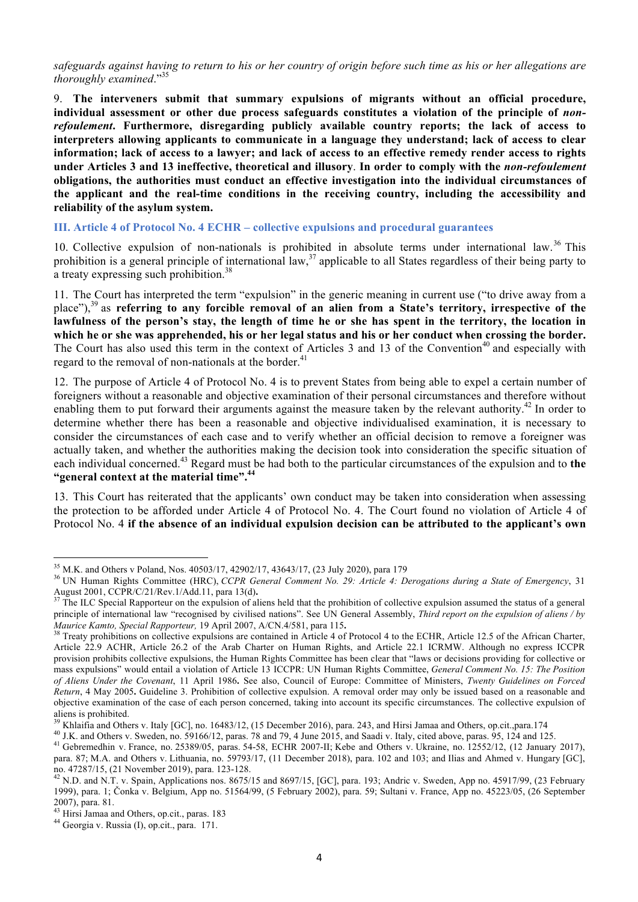safeguards against having to return to his or her country of origin before such time as his or her allegations are *thoroughly examined*."<sup>35</sup>

9. **The interveners submit that summary expulsions of migrants without an official procedure, individual assessment or other due process safeguards constitutes a violation of the principle of** *nonrefoulement***. Furthermore, disregarding publicly available country reports; the lack of access to interpreters allowing applicants to communicate in a language they understand; lack of access to clear** information; lack of access to a lawyer; and lack of access to an effective remedy render access to rights **under Articles 3 and 13 ineffective, theoretical and illusory**. **In order to comply with the** *non-refoulement* **obligations, the authorities must conduct an effective investigation into the individual circumstances of the applicant and the real-time conditions in the receiving country, including the accessibility and reliability of the asylum system.**

# **III. Article 4 of Protocol No. 4 ECHR – collective expulsions and procedural guarantees**

10. Collective expulsion of non-nationals is prohibited in absolute terms under international law.<sup>36</sup> This prohibition is a general principle of international law,  $37$  applicable to all States regardless of their being party to a treaty expressing such prohibition.<sup>38</sup>

11. The Court has interpreted the term "expulsion" in the generic meaning in current use ("to drive away from a place"),<sup>39</sup> as **referring to any forcible removal of an alien from a State's territory, irrespective of the lawfulness of the person's stay, the length of time he or she has spent in the territory, the location in which he or she was apprehended, his or her legal status and his or her conduct when crossing the border.** The Court has also used this term in the context of Articles 3 and 13 of the Convention<sup>40</sup> and especially with regard to the removal of non-nationals at the border.<sup>41</sup>

12. The purpose of Article 4 of Protocol No. 4 is to prevent States from being able to expel a certain number of foreigners without a reasonable and objective examination of their personal circumstances and therefore without enabling them to put forward their arguments against the measure taken by the relevant authority.<sup>42</sup> In order to determine whether there has been a reasonable and objective individualised examination, it is necessary to consider the circumstances of each case and to verify whether an official decision to remove a foreigner was actually taken, and whether the authorities making the decision took into consideration the specific situation of each individual concerned. <sup>43</sup> Regard must be had both to the particular circumstances of the expulsion and to **the "general context at the material time". 44**

13. This Court has reiterated that the applicants' own conduct may be taken into consideration when assessing the protection to be afforded under Article 4 of Protocol No. 4. The Court found no violation of Article 4 of Protocol No. 4 **if the absence of an individual expulsion decision can be attributed to the applicant's own** 

<sup>&</sup>lt;sup>35</sup> M.K. and Others v Poland, Nos. 40503/17, 42902/17, 43643/17, (23 July 2020), para 179<br><sup>36</sup> UN Human Rights Committee (HRC), *CCPR General Comment No. 29: Article 4: Derogations during a State of Emergency*, 31 August 2001, CCPR/C/21/Rev.1/Add.11, para 13(d).<br><sup>37</sup> The ILC Special Rapporteur on the expulsion of aliens held that the prohibition of collective expulsion assumed the status of a general

principle of international law "recognised by civilised nations". See UN General Assembly, *Third report on the expulsion of aliens / by* Maurice Kamto, Special Rapporteur, 19 April 2007, A/CN.4/581, para 115.<br><sup>38</sup> Treaty prohibitions on collective expulsions are contained in Article 4 of Protocol 4 to the ECHR, Article 12.5 of the African Charter,

Article 22.9 ACHR, Article 26.2 of the Arab Charter on Human Rights, and Article 22.1 ICRMW. Although no express ICCPR provision prohibits collective expulsions, the Human Rights Committee has been clear that "laws or decisions providing for collective or mass expulsions" would entail a violation of Article 13 ICCPR: UN Human Rights Committee, *General Comment No. 15: The Position of Aliens Under the Covenant*, 11 April 1986**.** See also, Council of Europe: Committee of Ministers, *Twenty Guidelines on Forced Return*, 4 May 2005**.** Guideline 3. Prohibition of collective expulsion. A removal order may only be issued based on a reasonable and objective examination of the case of each person concerned, taking into account its specific circumstances. The collective expulsion of aliens is prohibited.<br><sup>39</sup> Khlaifia and Others v. Italy [GC], no. 16483/12, (15 December 2016), para. 243, and Hirsi Jamaa and Others, op.cit.,para.174<br><sup>40</sup> J.K. and Others v. Sweden, no. 59166/12, paras. 78 and 79, 4 June

para. 87; M.A. and Others v. Lithuania, no. 59793/17, (11 December 2018), para. 102 and 103; and Ilias and Ahmed v. Hungary [GC],

no. 47287/15, (21 November 2019), para. 123-128.<br><sup>42</sup> N.D. and N.T. v. Spain, Applications nos. 8675/15 and 8697/15, [GC], para. 193; Andric v. Sweden, App no. 45917/99, (23 February 1999), para. 1; Čonka v. Belgium, App no. 51564/99, (5 February 2002), para. 59; Sultani v. France, App no. 45223/05, (26 September 2007), para. 81. <sup>43</sup> Hirsi Jamaa and Others, op.cit., paras. <sup>183</sup> <sup>44</sup> Georgia v. Russia (I), op.cit., para. 171.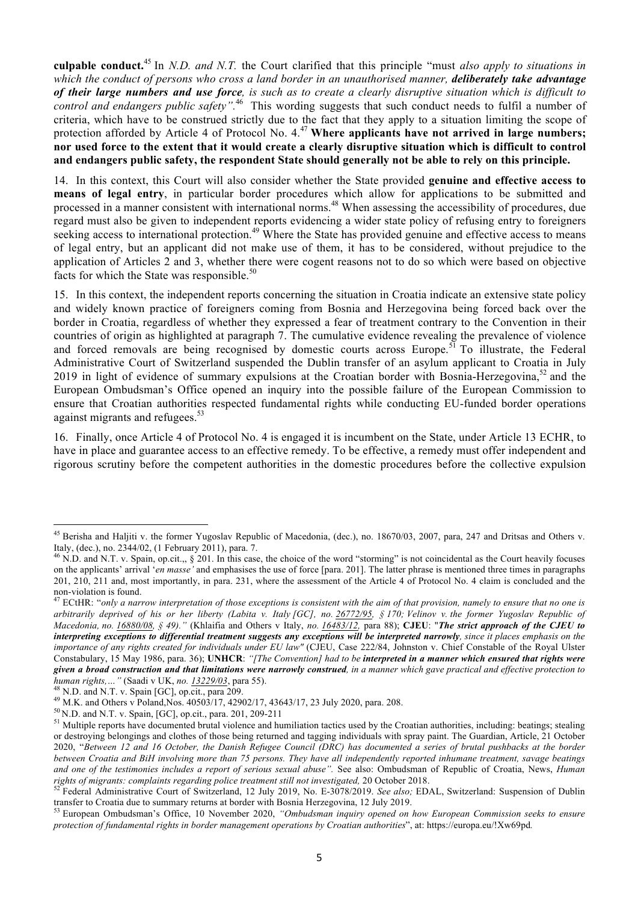**culpable conduct.** <sup>45</sup> In *N.D. and N.T.* the Court clarified that this principle "must *also apply to situations in* which the conduct of persons who cross a land border in an unauthorised manner, deliberately take advantage of their large numbers and use force, is such as to create a clearly disruptive situation which is difficult to *control and endangers public safety".*<sup>46</sup> This wording suggests that such conduct needs to fulfil a number of criteria, which have to be construed strictly due to the fact that they apply to a situation limiting the scope of protection afforded by Article 4 of Protocol No. 4. <sup>47</sup> **Where applicants have not arrived in large numbers;** nor used force to the extent that it would create a clearly disruptive situation which is difficult to control **and endangers public safety, the respondent State should generally not be able to rely on this principle.**

14. In this context, this Court will also consider whether the State provided **genuine and effective access to means of legal entry**, in particular border procedures which allow for applications to be submitted and processed in a manner consistent with international norms.<sup>48</sup> When assessing the accessibility of procedures, due regard must also be given to independent reports evidencing a wider state policy of refusing entry to foreigners seeking access to international protection.<sup>49</sup> Where the State has provided genuine and effective access to means of legal entry, but an applicant did not make use of them, it has to be considered, without prejudice to the application of Articles 2 and 3, whether there were cogent reasons not to do so which were based on objective facts for which the State was responsible.<sup>50</sup>

15. In this context, the independent reports concerning the situation in Croatia indicate an extensive state policy and widely known practice of foreigners coming from Bosnia and Herzegovina being forced back over the border in Croatia, regardless of whether they expressed a fear of treatment contrary to the Convention in their countries of origin as highlighted at paragraph 7. The cumulative evidence revealing the prevalence of violence and forced removals are being recognised by domestic courts across Europe.<sup>51</sup> To illustrate, the Federal Administrative Court of Switzerland suspended the Dublin transfer of an asylum applicant to Croatia in July 2019 in light of evidence of summary expulsions at the Croatian border with Bosnia-Herzegovina,<sup>52</sup> and the European Ombudsman's Office opened an inquiry into the possible failure of the European Commission to ensure that Croatian authorities respected fundamental rights while conducting EU-funded border operations against migrants and refugees.<sup>53</sup>

16. Finally, once Article 4 of Protocol No. 4 is engaged it is incumbent on the State, under Article 13 ECHR, to have in place and guarantee access to an effective remedy. To be effective, a remedy must offer independent and rigorous scrutiny before the competent authorities in the domestic procedures before the collective expulsion

<sup>&</sup>lt;sup>45</sup> Berisha and Haljiti v. the former Yugoslav Republic of Macedonia, (dec.), no. 18670/03, 2007, para, 247 and Dritsas and Others v.

Italy, (dec.), no. 2344/02, (1 February 2011), para. 7.<br><sup>46</sup> N.D. and N.T. v. Spain, op.cit.,, § 201. In this case, the choice of the word "storming" is not coincidental as the Court heavily focuses on the applicants' arrival '*en masse'* and emphasises the use of force [para. 201]. The latter phrase is mentioned three times in paragraphs 201, 210, 211 and, most importantly, in para. 231, where the assessment of the Article 4 of Protocol No. 4 claim is concluded and the

non-violation is found.<br><sup>47</sup> ECtHR: "only a narrow interpretation of those exceptions is consistent with the aim of that provision, namely to ensure that no one is arbitrarily deprived of his or her liberty (Labita v. Italy [GC], no. 26772/95, § 170; Velinov v. the former Yugoslav Republic of Macedonia, no. 16880/08, § 49)." (Khlaifia and Others v Italy, no. 16483/12, para 88); CJEU: "The strict approach of the CJEU to interpreting exceptions to differential treatment suggests any exceptions will be interpreted narrowly, since it places emphasis on the *importance of any rights created for individuals under EU law"* (CJEU, Case 222/84, Johnston v. Chief Constable of the Royal Ulster Constabulary, 15 May 1986, para. 36); UNHCR: "[The Convention] had to be interpreted in a manner which ensured that rights were given a broad construction and that limitations were narrowly construed, in a manner which gave practical and effective protection to human rights, ... " (Saadi v UK, no. 13229/03, para 55).<br><sup>48</sup> N.D. and N.T. v. Spain [GC], op.cit., para 209.<br><sup>49</sup> M.K. and Others v Poland, Nos. 40503/17, 42902/17, 43643/17, 23 July 2020, para. 208.<br><sup>50</sup> N.D. and N.T. v

or destroying belongings and clothes of those being returned and tagging individuals with spray paint. The Guardian, Article, 21 October 2020, "*Between 12 and 16 October, the Danish Refugee Council (DRC) has documented a series of brutal pushbacks at the border between Croatia and BiH involving more than 75 persons. They have all independently reported inhumane treatment, savage beatings and one of the testimonies includes a report of serious sexual abuse".* See also: Ombudsman of Republic of Croatia, News, *Human* rights of migrants: complaints regarding police treatment still not investigated, 20 October 2018.<br><sup>52</sup> Federal Administrative Court of Switzerland, 12 July 2019, No. E-3078/2019. See also; EDAL, Switzerland: Suspension of

transfer to Croatia due to summary returns at border with Bosnia Herzegovina, 12 July 2019.<br><sup>53</sup> European Ombudsman's Office, 10 November 2020, *"Ombudsman inquiry opened on how European Commission seeks to ensure* 

*protection of fundamental rights in border management operations by Croatian authorities*", at: https://europa.eu/!Xw69pd*.*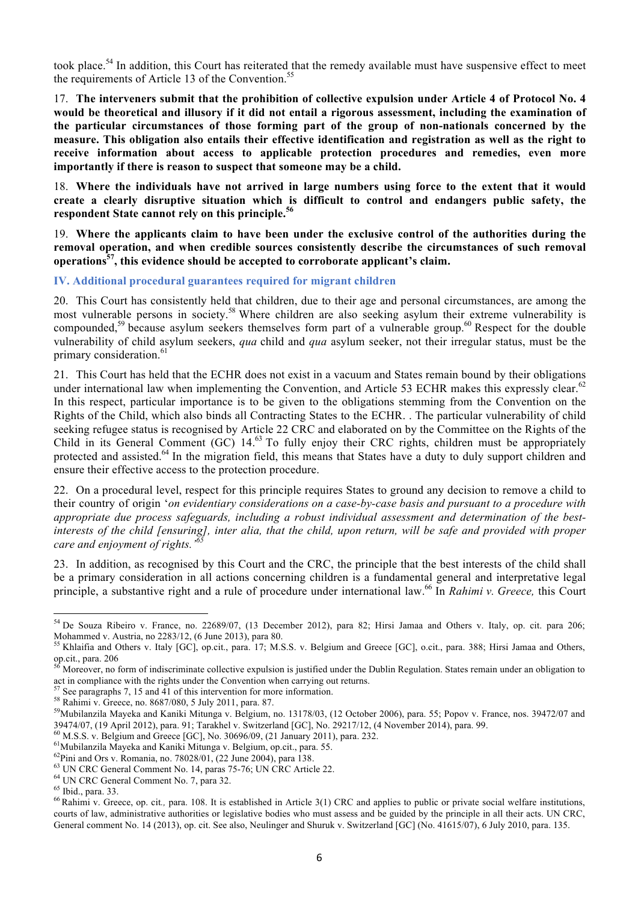took place.<sup>54</sup> In addition, this Court has reiterated that the remedy available must have suspensive effect to meet the requirements of Article 13 of the Convention.<sup>55</sup>

17. **The interveners submit that the prohibition of collective expulsion under Article 4 of Protocol No. 4** would be theoretical and illusory if it did not entail a rigorous assessment, including the examination of **the particular circumstances of those forming part of the group of non-nationals concerned by the measure. This obligation also entails their effective identification and registration as well as the right to receive information about access to applicable protection procedures and remedies, even more importantly if there is reason to suspect that someone may be a child.**

18. **Where the individuals have not arrived in large numbers using force to the extent that it would create a clearly disruptive situation which is difficult to control and endangers public safety, the respondent State cannot rely on this principle. 56**

19. **Where the applicants claim to have been under the exclusive control of the authorities during the removal operation, and when credible sources consistently describe the circumstances of such removal operations57, this evidence should be accepted to corroborate applicant's claim.**

**IV. Additional procedural guarantees required for migrant children**

20. This Court has consistently held that children, due to their age and personal circumstances, are among the most vulnerable persons in society.58 Where children are also seeking asylum their extreme vulnerability is compounded,<sup>59</sup> because asylum seekers themselves form part of a vulnerable group.<sup>60</sup> Respect for the double vulnerability of child asylum seekers, *qua* child and *qua* asylum seeker, not their irregular status, must be the primary consideration.<sup>61</sup>

21. This Court has held that the ECHR does not exist in a vacuum and States remain bound by their obligations under international law when implementing the Convention, and Article 53 ECHR makes this expressly clear.<sup>62</sup> In this respect, particular importance is to be given to the obligations stemming from the Convention on the Rights of the Child, which also binds all Contracting States to the ECHR. . The particular vulnerability of child seeking refugee status is recognised by Article 22 CRC and elaborated on by the Committee on the Rights of the Child in its General Comment (GC) 14.<sup>63</sup> To fully enjoy their CRC rights, children must be appropriately protected and assisted.<sup>64</sup> In the migration field, this means that States have a duty to duly support children and ensure their effective access to the protection procedure.

22. On a procedural level, respect for this principle requires States to ground any decision to remove a child to their country of origin '*on evidentiary considerations on a case-by-case basis and pursuant to a procedure with appropriate due process safeguards, including a robust individual assessment and determination of the best*interests of the child [ensuring], inter alia, that the child, upon return, will be safe and provided with proper *care and enjoyment of rights.'<sup>65</sup>*

23. In addition, as recognised by this Court and the CRC, the principle that the best interests of the child shall be a primary consideration in all actions concerning children is a fundamental general and interpretative legal principle, a substantive right and a rule of procedure under international law.66 In *Rahimi v. Greece,* this Court

<sup>&</sup>lt;sup>54</sup> De Souza Ribeiro v. France, no. 22689/07, (13 December 2012), para 82; Hirsi Jamaa and Others v. Italy, op. cit. para 206;

Mohammed v. Austria, no 2283/12, (6 June 2013), para 80.<br><sup>55</sup> Khlaifia and Others v. Italy [GC], op.cit., para. 17; M.S.S. v. Belgium and Greece [GC], o.cit., para. 388; Hirsi Jamaa and Others, op.cit., para. 206<br><sup>56</sup> More

Moreover, no form of indiscriminate collective expulsion is justified under the Dublin Regulation. States remain under an obligation to act in compliance with the rights under the Convention when carrying out returns.<br>
<sup>57</sup> See paragraphs 7, 15 and 41 of this intervention for more information.<br>
<sup>58</sup> Rahimi v. Greece, no. 8687/080, 5 July 2011, para. 87.<br>
<sup></sup>

<sup>39474/07, (19</sup> April 2012), para. 91; Tarakhel v. Switzerland [GC], No. 29217/12, (4 November 2014), para. 99.<br>
<sup>60</sup> M.S.S. v. Belgium and Greece [GC], No. 30696/09, (21 January 2011), para. 232.<br>
<sup>61</sup> Mubilanzila Mayeka a

courts of law, administrative authorities or legislative bodies who must assess and be guided by the principle in all their acts. UN CRC, General comment No. 14 (2013), op. cit. See also, Neulinger and Shuruk v. Switzerland [GC] (No. 41615/07), 6 July 2010, para. 135.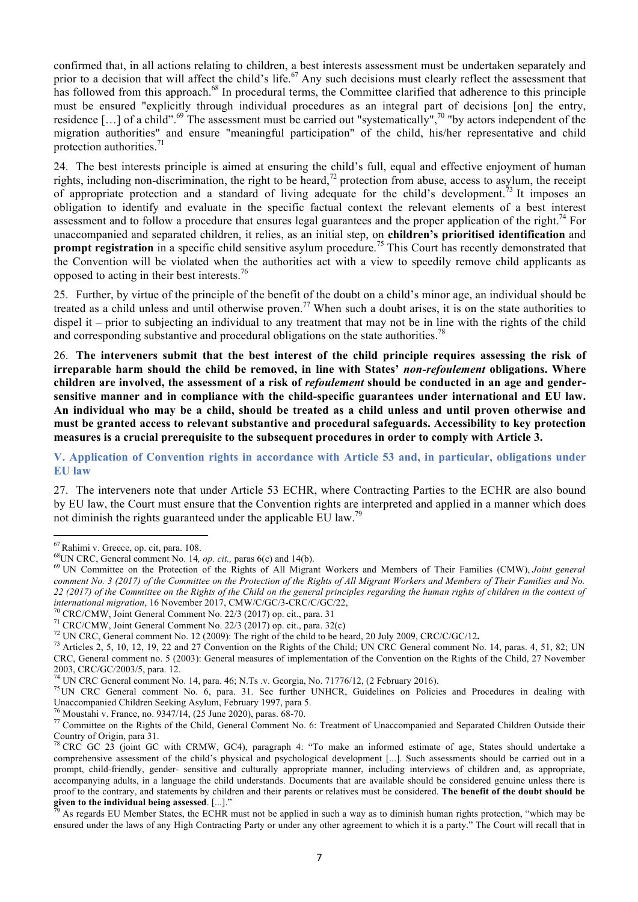confirmed that, in all actions relating to children, a best interests assessment must be undertaken separately and prior to a decision that will affect the child's life.<sup>67</sup> Any such decisions must clearly reflect the assessment that has followed from this approach.<sup>68</sup> In procedural terms, the Committee clarified that adherence to this principle must be ensured "explicitly through individual procedures as an integral part of decisions [on] the entry, residence [...] of a child".<sup>69</sup> The assessment must be carried out "systematically",<sup>70</sup> "by actors independent of the migration authorities" and ensure "meaningful participation" of the child, his/her representative and child protection authorities.<sup>71</sup>

24. The best interests principle is aimed at ensuring the child's full, equal and effective enjoyment of human rights, including non-discrimination, the right to be heard,<sup>72</sup> protection from abuse, access to asylum, the receipt of appropriate protection and a standard of living adequate for the child's development.<sup>73</sup> It imposes an obligation to identify and evaluate in the specific factual context the relevant elements of a best interest assessment and to follow a procedure that ensures legal guarantees and the proper application of the right.<sup>74</sup> For unaccompanied and separated children, it relies, as an initial step, on **children's prioritised identification** and **prompt registration** in a specific child sensitive asylum procedure.<sup>75</sup> This Court has recently demonstrated that the Convention will be violated when the authorities act with a view to speedily remove child applicants as opposed to acting in their best interests.<sup>76</sup>

25. Further, by virtue of the principle of the benefit of the doubt on a child's minor age, an individual should be treated as a child unless and until otherwise proven.<sup>77</sup> When such a doubt arises, it is on the state authorities to dispel it – prior to subjecting an individual to any treatment that may not be in line with the rights of the child and corresponding substantive and procedural obligations on the state authorities.<sup>78</sup>

26. **The interveners submit that the best interest of the child principle requires assessing the risk of irreparable harm should the child be removed, in line with States'** *non-refoulement* **obligations. Where** children are involved, the assessment of a risk of *refoulement* should be conducted in an age and gender**sensitive manner and in compliance with the child-specific guarantees under international and EU law.** An individual who may be a child, should be treated as a child unless and until proven otherwise and **must be granted access to relevant substantive and procedural safeguards. Accessibility to key protection measures is a crucial prerequisite to the subsequent procedures in order to comply with Article 3.**

**V. Application of Convention rights in accordance with Article 53 and, in particular, obligations under EU law**

27. The interveners note that under Article 53 ECHR, where Contracting Parties to the ECHR are also bound by EU law, the Court must ensure that the Convention rights are interpreted and applied in a manner which does not diminish the rights guaranteed under the applicable EU law.<sup>79</sup>

<sup>&</sup>lt;sup>67</sup> Rahimi v. Greece, op. cit, para. 108.<br><sup>68</sup> UN CRC, General comment No. 14, *op. cit.*, paras 6(c) and 14(b).<br><sup>69</sup> UN Committee on the Protection of the Rights of All Migrant Workers and Members of Their Families (CMW comment No. 3 (2017) of the Committee on the Protection of the Rights of All Migrant Workers and Members of Their Families and No. 22 (2017) of the Committee on the Rights of the Child on the general principles regarding the human rights of children in the context of international migration, 16 November 2017, CMW/C/GC/3-CRC/C/GC/22,

<sup>&</sup>lt;sup>70</sup> CRC/CMW, Joint General Comment No. 22/3 (2017) op. cit., para. 31<br><sup>71</sup> CRC/CMW, Joint General Comment No. 22/3 (2017) op. cit., para. 32(c)<br><sup>72</sup> UN CRC, General comment No. 12 (2009): The right of the child to be hea CRC, General comment no. 5 (2003): General measures of implementation of the Convention on the Rights of the Child, 27 November 2003, CRC/GC/2003/5, para. 12.<br><sup>74</sup> UN CRC General comment No. 14, para. 46; N.Ts .v. Georgia, No. 71776/12, (2 February 2016).<br><sup>75</sup> UN CRC General comment No. 6, para. 31. See further UNHCR, Guidelines on Policies and Pro

Unaccompanied Children Seeking Asylum, February 1997, para 5.<br><sup>76</sup> Moustahi v. France, no. 9347/14, (25 June 2020), paras. 68-70.<br><sup>77</sup> Committee on the Rights of the Child, General Comment No. 6: Treatment of Unaccompanie Country of Origin, para 31.<br><sup>78</sup> CRC GC 23 (joint GC with CRMW, GC4), paragraph 4: "To make an informed estimate of age, States should undertake a

comprehensive assessment of the child's physical and psychological development [...]. Such assessments should be carried out in a prompt, child-friendly, gender- sensitive and culturally appropriate manner, including interviews of children and, as appropriate, accompanying adults, in a language the child understands. Documents that are available should be considered genuine unless there is proof to the contrary, and statements by children and their parents or relatives must be considered. The benefit of the doubt should be given to the individual being assessed. [...]."

As regards EU Member States, the ECHR must not be applied in such a way as to diminish human rights protection, "which may be ensured under the laws of any High Contracting Party or under any other agreement to which it is a party." The Court will recall that in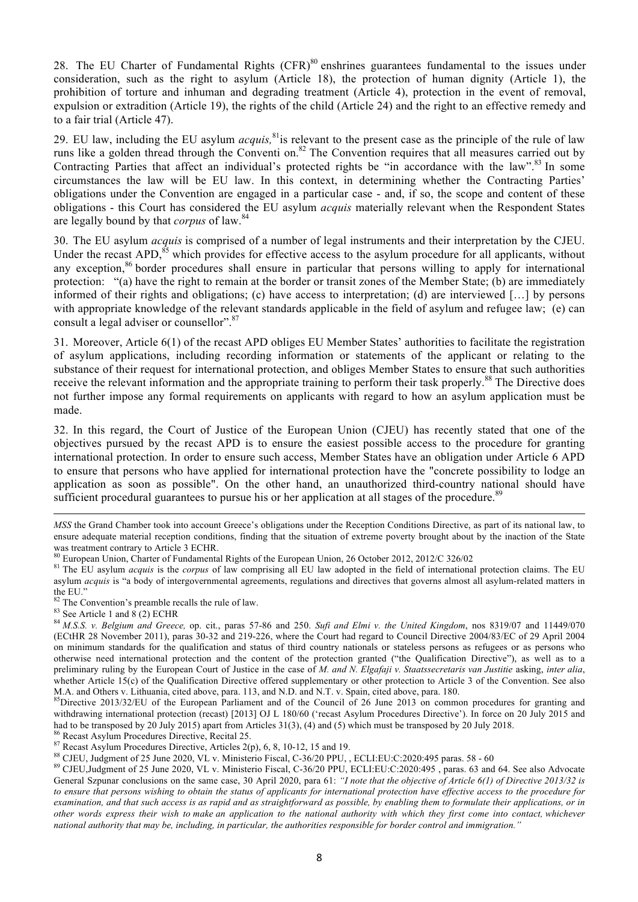28. The EU Charter of Fundamental Rights (CFR)<sup>80</sup> enshrines guarantees fundamental to the issues under consideration, such as the right to asylum (Article 18), the protection of human dignity (Article 1), the prohibition of torture and inhuman and degrading treatment (Article 4), protection in the event of removal, expulsion or extradition (Article 19), the rights of the child (Article 24) and the right to an effective remedy and to a fair trial (Article 47).

29. EU law, including the EU asylum *acquis,* 81is relevant to the present case as the principle of the rule of law runs like a golden thread through the Conventi on.<sup>82</sup> The Convention requires that all measures carried out by Contracting Parties that affect an individual's protected rights be "in accordance with the law".<sup>83</sup> In some circumstances the law will be EU law. In this context, in determining whether the Contracting Parties' obligations under the Convention are engaged in a particular case - and, if so, the scope and content of these obligations - this Court has considered the EU asylum *acquis* materially relevant when the Respondent States are legally bound by that *corpus* of law.<sup>84</sup>

30. The EU asylum *acquis* is comprised of a number of legal instruments and their interpretation by the CJEU. Under the recast APD,  $85$  which provides for effective access to the asylum procedure for all applicants, without any exception,<sup>86</sup> border procedures shall ensure in particular that persons willing to apply for international protection: "(a) have the right to remain at the border or transit zones of the Member State; (b) are immediately informed of their rights and obligations; (c) have access to interpretation; (d) are interviewed […] by persons with appropriate knowledge of the relevant standards applicable in the field of asylum and refugee law; (e) can consult a legal adviser or counsellor".<sup>87</sup>

31. Moreover, Article 6(1) of the recast APD obliges EU Member States' authorities to facilitate the registration of asylum applications, including recording information or statements of the applicant or relating to the substance of their request for international protection, and obliges Member States to ensure that such authorities receive the relevant information and the appropriate training to perform their task properly.<sup>88</sup> The Directive does not further impose any formal requirements on applicants with regard to how an asylum application must be made.

32. In this regard, the Court of Justice of the European Union (CJEU) has recently stated that one of the objectives pursued by the recast APD is to ensure the easiest possible access to the procedure for granting international protection. In order to ensure such access, Member States have an obligation under Article 6 APD to ensure that persons who have applied for international protection have the "concrete possibility to lodge an application as soon as possible". On the other hand, an unauthorized third-country national should have sufficient procedural guarantees to pursue his or her application at all stages of the procedure.<sup>89</sup>

<u>.</u>

General Szpunar conclusions on the same case, 30 April 2020, para 61: *"I note that the objective of Article 6(1) of Directive 2013/32 is* to ensure that persons wishing to obtain the status of applicants for international protection have effective access to the procedure for examination, and that such access is as rapid and as straightforward as possible, by enabling them to formulate their applications, or in other words express their wish to make an application to the national authority with which they first come into contact, whichever national authority that may be, including, in particular, the authorities responsible for border control and immigration."

*MSS* the Grand Chamber took into account Greece's obligations under the Reception Conditions Directive, as part of its national law, to ensure adequate material reception conditions, finding that the situation of extreme poverty brought about by the inaction of the State was treatment contrary to Article 3 ECHR.<br><sup>80</sup> European Union, Charter of Fundamental Rights of the European Union, 26 October 2012, 2012/C 326/02<br><sup>81</sup> The EU asylum *acquis* is the *corpus* of law comprising all EU law ad

asylum *acquis* is "a body of intergovernmental agreements, regulations and directives that governs almost all asylum-related matters in

the EU."<br><sup>82</sup> The Convention's preamble recalls the rule of law.<br><sup>83</sup> See Article 1 and 8 (2) ECHR<br><sup>84</sup> *M.S.S. v. Belgium and Greece,* op. cit., paras 57-86 and 250. *Sufi and Elmi v. the United Kingdom*, nos 8319/07 and (ECtHR 28 November 2011), paras 30-32 and 219-226, where the Court had regard to Council Directive 2004/83/EC of 29 April 2004 on minimum standards for the qualification and status of third country nationals or stateless persons as refugees or as persons who otherwise need international protection and the content of the protection granted ("the Qualification Directive"), as well as to a preliminary ruling by the European Court of Justice in the case of *M. and N. Elgafaji v. Staatssecretaris van Justitie* asking, *inter alia*, whether Article 15(c) of the Qualification Directive offered supplementary or other protection to Article 3 of the Convention. See also

M.A. and Others v. Lithuania, cited above, para. 113, and N.D. and N.T. v. Spain, cited above, para. 180.<br><sup>85</sup>Directive 2013/32/EU of the European Parliament and of the Council of 26 June 2013 on common procedures for gran withdrawing international protection (recast) [2013] OJ L 180/60 ('recast Asylum Procedures Directive'). In force on 20 July 2015 and had to be transposed by 20 July 2015) apart from Articles 31(3), (4) and (5) which must be transposed by 20 July 2018.<br><sup>86</sup> Recast Asylum Procedures Directive, Recital 25.<br><sup>87</sup> Recast Asylum Procedures Directive, Articles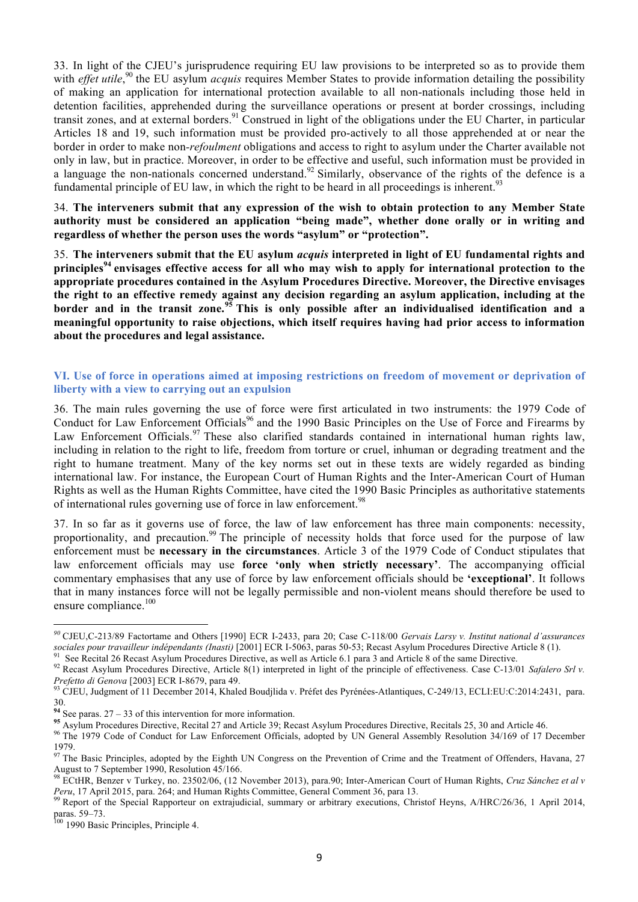33. In light of the CJEU's jurisprudence requiring EU law provisions to be interpreted so as to provide them with *effet utile*,<sup>90</sup> the EU asylum *acquis* requires Member States to provide information detailing the possibility of making an application for international protection available to all non-nationals including those held in detention facilities, apprehended during the surveillance operations or present at border crossings, including transit zones, and at external borders.<sup>91</sup> Construed in light of the obligations under the EU Charter, in particular Articles 18 and 19, such information must be provided pro-actively to all those apprehended at or near the border in order to make non*-refoulment* obligations and access to right to asylum under the Charter available not only in law, but in practice. Moreover, in order to be effective and useful, such information must be provided in a language the non-nationals concerned understand.<sup>92</sup> Similarly, observance of the rights of the defence is a fundamental principle of EU law, in which the right to be heard in all proceedings is inherent.<sup>93</sup>

34. **The interveners submit that any expression of the wish to obtain protection to any Member State authority must be considered an application "being made", whether done orally or in writing and regardless of whether the person uses the words "asylum" or "protection".**

35. **The interveners submit that the EU asylum** *acquis* **interpreted in light of EU fundamental rights and principles<sup>94</sup> envisages effective access for all who may wish to apply for international protection to the appropriate procedures contained in the Asylum Procedures Directive. Moreover, the Directive envisages the right to an effective remedy against any decision regarding an asylum application, including at the border and in the transit zone.<sup>95</sup> This is only possible after an individualised identification and a meaningful opportunity to raise objections, which itself requires having had prior access to information about the procedures and legal assistance.**

# **VI. Use of force in operations aimed at imposing restrictions on freedom of movement or deprivation of liberty with a view to carrying out an expulsion**

36. The main rules governing the use of force were first articulated in two instruments: the 1979 Code of Conduct for Law Enforcement Officials<sup>96</sup> and the 1990 Basic Principles on the Use of Force and Firearms by Law Enforcement Officials.<sup>97</sup> These also clarified standards contained in international human rights law, including in relation to the right to life, freedom from torture or cruel, inhuman or degrading treatment and the right to humane treatment. Many of the key norms set out in these texts are widely regarded as binding international law. For instance, the European Court of Human Rights and the Inter-American Court of Human Rights as well as the Human Rights Committee, have cited the 1990 Basic Principles as authoritative statements of international rules governing use of force in law enforcement.<sup>98</sup>

37. In so far as it governs use of force, the law of law enforcement has three main components: necessity, proportionality, and precaution.<sup>99</sup> The principle of necessity holds that force used for the purpose of law enforcement must be **necessary in the circumstances**. Article 3 of the 1979 Code of Conduct stipulates that law enforcement officials may use **force 'only when strictly necessary'**. The accompanying official commentary emphasises that any use of force by law enforcement officials should be **'exceptional'**. It follows that in many instances force will not be legally permissible and non-violent means should therefore be used to ensure compliance.<sup>100</sup>

 $\overline{a}$ 

*<sup>90</sup>* CJEU,C-213/89 Factortame and Others [1990] ECR I-2433, para 20; Case C-118/00 *Gervais Larsy v. Institut national d'assurances*

<sup>&</sup>lt;sup>91</sup> See Recital 26 Recast Asylum Procedures Directive, as well as Article 6.1 para 3 and Article 8 of the same Directive.<br><sup>92</sup> Recast Asylum Procedures Directive, Article 8(1) interpreted in light of the principle of eff

<sup>&</sup>lt;sup>93</sup> CJEU, Judgment of 11 December 2014, Khaled Boudjlida v. Préfet des Pyrénées-Atlantiques, C-249/13, ECLI:EU:C:2014:2431, para. 30.<br><sup>94</sup> See paras. 27 – 33 of this intervention for more information.<br><sup>95</sup> Asylum Procedures Directive, Recital 27 and Article 39; Recast Asylum Procedures Directive, Recitals 25, 30 and Article 46.<br><sup>95</sup> The 1979 Code of

<sup>1979.</sup>

<sup>&</sup>lt;sup>97</sup> The Basic Principles, adopted by the Eighth UN Congress on the Prevention of Crime and the Treatment of Offenders, Havana, 27<br>August to 7 September 1990, Resolution 45/166.<br><sup>98</sup> EC+UP, Barana: 1 Turking the 2010/06/1

August to <sup>7</sup> September 1990, Resolution 45/166. <sup>98</sup> ECtHR, Benzer <sup>v</sup> Turkey, no. 23502/06, (12 November 2013), para.90; Inter-American Court of Human Rights, *Cruz Sánchez et al <sup>v</sup>* Peru, 17 April 2015, para. 264; and Human Rights Committee, General Comment 36, para 13.<br><sup>99</sup> Report of the Special Rapporteur on extrajudicial, summary or arbitrary executions, Christof Heyns, A/HRC/26/36, 1 April 2014,

paras. 59–73.<br><sup>100</sup> 1990 Basic Principles, Principle 4.